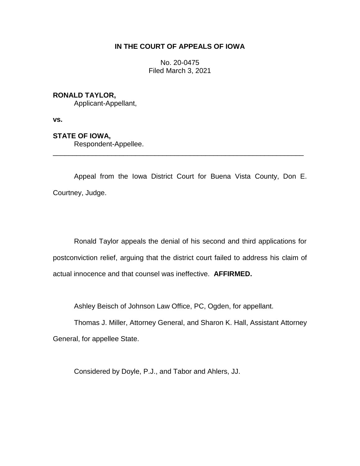# **IN THE COURT OF APPEALS OF IOWA**

No. 20-0475 Filed March 3, 2021

## **RONALD TAYLOR,**

Applicant-Appellant,

**vs.**

## **STATE OF IOWA,**

Respondent-Appellee.

Appeal from the Iowa District Court for Buena Vista County, Don E. Courtney, Judge.

\_\_\_\_\_\_\_\_\_\_\_\_\_\_\_\_\_\_\_\_\_\_\_\_\_\_\_\_\_\_\_\_\_\_\_\_\_\_\_\_\_\_\_\_\_\_\_\_\_\_\_\_\_\_\_\_\_\_\_\_\_\_\_\_

Ronald Taylor appeals the denial of his second and third applications for postconviction relief, arguing that the district court failed to address his claim of actual innocence and that counsel was ineffective. **AFFIRMED.**

Ashley Beisch of Johnson Law Office, PC, Ogden, for appellant.

Thomas J. Miller, Attorney General, and Sharon K. Hall, Assistant Attorney General, for appellee State.

Considered by Doyle, P.J., and Tabor and Ahlers, JJ.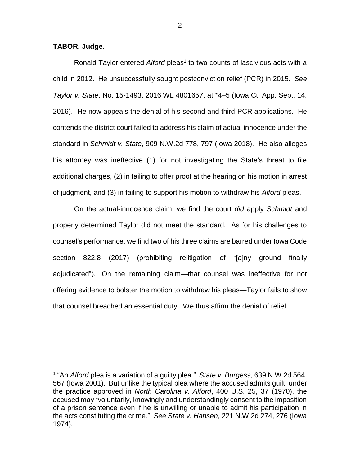**TABOR, Judge.**

 $\overline{a}$ 

Ronald Taylor entered Alford pleas<sup>1</sup> to two counts of lascivious acts with a child in 2012. He unsuccessfully sought postconviction relief (PCR) in 2015. *See Taylor v. State*, No. 15-1493, 2016 WL 4801657, at \*4–5 (Iowa Ct. App. Sept. 14, 2016). He now appeals the denial of his second and third PCR applications. He contends the district court failed to address his claim of actual innocence under the standard in *Schmidt v. State*, 909 N.W.2d 778, 797 (Iowa 2018). He also alleges his attorney was ineffective (1) for not investigating the State's threat to file additional charges, (2) in failing to offer proof at the hearing on his motion in arrest of judgment, and (3) in failing to support his motion to withdraw his *Alford* pleas.

On the actual-innocence claim, we find the court *did* apply *Schmidt* and properly determined Taylor did not meet the standard. As for his challenges to counsel's performance, we find two of his three claims are barred under Iowa Code section 822.8 (2017) (prohibiting relitigation of "[a]ny ground finally adjudicated"). On the remaining claim—that counsel was ineffective for not offering evidence to bolster the motion to withdraw his pleas—Taylor fails to show that counsel breached an essential duty. We thus affirm the denial of relief.

<sup>1</sup> "An *Alford* plea is a variation of a guilty plea." *State v. Burgess*, 639 N.W.2d 564, 567 (Iowa 2001). But unlike the typical plea where the accused admits guilt, under the practice approved in *North Carolina v. Alford*, 400 U.S. 25, 37 (1970), the accused may "voluntarily, knowingly and understandingly consent to the imposition of a prison sentence even if he is unwilling or unable to admit his participation in the acts constituting the crime." *See State v. Hansen*, 221 N.W.2d 274, 276 (Iowa 1974).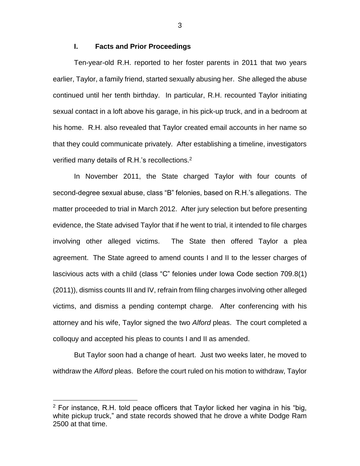## **I. Facts and Prior Proceedings**

Ten-year-old R.H. reported to her foster parents in 2011 that two years earlier, Taylor, a family friend, started sexually abusing her. She alleged the abuse continued until her tenth birthday. In particular, R.H. recounted Taylor initiating sexual contact in a loft above his garage, in his pick-up truck, and in a bedroom at his home. R.H. also revealed that Taylor created email accounts in her name so that they could communicate privately. After establishing a timeline, investigators verified many details of R.H.'s recollections.<sup>2</sup>

In November 2011, the State charged Taylor with four counts of second-degree sexual abuse, class "B" felonies, based on R.H.'s allegations. The matter proceeded to trial in March 2012. After jury selection but before presenting evidence, the State advised Taylor that if he went to trial, it intended to file charges involving other alleged victims. The State then offered Taylor a plea agreement. The State agreed to amend counts I and II to the lesser charges of lascivious acts with a child (class "C" felonies under Iowa Code section 709.8(1) (2011)), dismiss counts III and IV, refrain from filing charges involving other alleged victims, and dismiss a pending contempt charge. After conferencing with his attorney and his wife, Taylor signed the two *Alford* pleas. The court completed a colloquy and accepted his pleas to counts I and II as amended.

But Taylor soon had a change of heart. Just two weeks later, he moved to withdraw the *Alford* pleas. Before the court ruled on his motion to withdraw, Taylor

 $\overline{a}$ 

 $2$  For instance, R.H. told peace officers that Taylor licked her vagina in his "big, white pickup truck," and state records showed that he drove a white Dodge Ram 2500 at that time.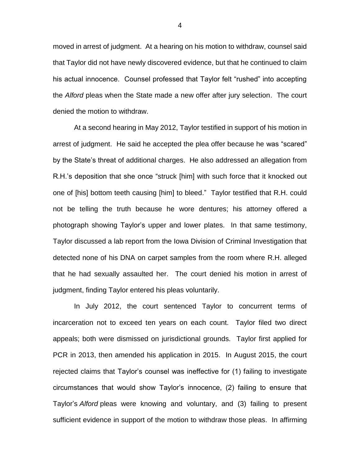moved in arrest of judgment. At a hearing on his motion to withdraw, counsel said that Taylor did not have newly discovered evidence, but that he continued to claim his actual innocence. Counsel professed that Taylor felt "rushed" into accepting the *Alford* pleas when the State made a new offer after jury selection. The court denied the motion to withdraw.

At a second hearing in May 2012, Taylor testified in support of his motion in arrest of judgment. He said he accepted the plea offer because he was "scared" by the State's threat of additional charges. He also addressed an allegation from R.H.'s deposition that she once "struck [him] with such force that it knocked out one of [his] bottom teeth causing [him] to bleed." Taylor testified that R.H. could not be telling the truth because he wore dentures; his attorney offered a photograph showing Taylor's upper and lower plates. In that same testimony, Taylor discussed a lab report from the Iowa Division of Criminal Investigation that detected none of his DNA on carpet samples from the room where R.H. alleged that he had sexually assaulted her. The court denied his motion in arrest of judgment, finding Taylor entered his pleas voluntarily.

In July 2012, the court sentenced Taylor to concurrent terms of incarceration not to exceed ten years on each count. Taylor filed two direct appeals; both were dismissed on jurisdictional grounds. Taylor first applied for PCR in 2013, then amended his application in 2015. In August 2015, the court rejected claims that Taylor's counsel was ineffective for (1) failing to investigate circumstances that would show Taylor's innocence, (2) failing to ensure that Taylor's *Alford* pleas were knowing and voluntary, and (3) failing to present sufficient evidence in support of the motion to withdraw those pleas. In affirming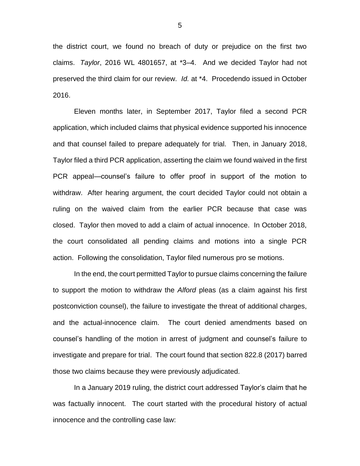the district court, we found no breach of duty or prejudice on the first two claims. *Taylor*, 2016 WL 4801657, at \*3–4. And we decided Taylor had not preserved the third claim for our review. *Id.* at \*4. Procedendo issued in October 2016.

Eleven months later, in September 2017, Taylor filed a second PCR application, which included claims that physical evidence supported his innocence and that counsel failed to prepare adequately for trial. Then, in January 2018, Taylor filed a third PCR application, asserting the claim we found waived in the first PCR appeal—counsel's failure to offer proof in support of the motion to withdraw. After hearing argument, the court decided Taylor could not obtain a ruling on the waived claim from the earlier PCR because that case was closed. Taylor then moved to add a claim of actual innocence. In October 2018, the court consolidated all pending claims and motions into a single PCR action. Following the consolidation, Taylor filed numerous pro se motions.

In the end, the court permitted Taylor to pursue claims concerning the failure to support the motion to withdraw the *Alford* pleas (as a claim against his first postconviction counsel), the failure to investigate the threat of additional charges, and the actual-innocence claim. The court denied amendments based on counsel's handling of the motion in arrest of judgment and counsel's failure to investigate and prepare for trial. The court found that section 822.8 (2017) barred those two claims because they were previously adjudicated.

In a January 2019 ruling, the district court addressed Taylor's claim that he was factually innocent. The court started with the procedural history of actual innocence and the controlling case law: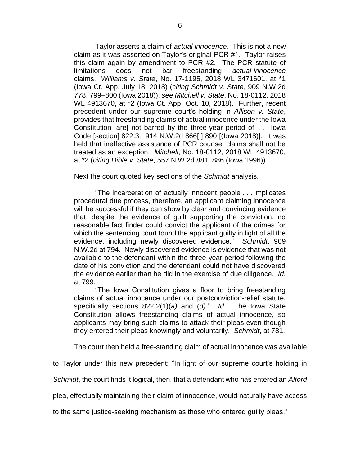Taylor asserts a claim of *actual innocence.* This is not a new claim as it was asserted on Taylor's original PCR #1. Taylor raises this claim again by amendment to PCR #2. The PCR statute of limitations does not bar freestanding *actual-innocence* claims. *Williams v. State*, No. 17-1195, 2018 WL 3471601, at \*1 (Iowa Ct. App. July 18, 2018) (*citing Schmidt v. State*, 909 N.W.2d 778, 799–800 (Iowa 2018)); *see Mitchell v. State*, No. 18-0112, 2018 WL 4913670, at \*2 (Iowa Ct. App. Oct. 10, 2018). Further, recent precedent under our supreme court's holding in *Allison v. State*, provides that freestanding claims of actual innocence under the Iowa Constitution [are] not barred by the three-year period of . . . Iowa Code [section] 822.3. 914 N.W.2d 866[,] 890 [(Iowa 2018)]. It was held that ineffective assistance of PCR counsel claims shall not be treated as an exception. *Mitchell*, No. 18-0112, 2018 WL 4913670, at \*2 (*citing Dible v. State*, 557 N.W.2d 881, 886 (Iowa 1996)).

Next the court quoted key sections of the *Schmidt* analysis.

"The incarceration of actually innocent people . . . implicates procedural due process, therefore, an applicant claiming innocence will be successful if they can show by clear and convincing evidence that, despite the evidence of guilt supporting the conviction, no reasonable fact finder could convict the applicant of the crimes for which the sentencing court found the applicant guilty in light of all the evidence, including newly discovered evidence." *Schmidt*, 909 N.W.2d at 794. Newly discovered evidence is evidence that was not available to the defendant within the three-year period following the date of his conviction and the defendant could not have discovered the evidence earlier than he did in the exercise of due diligence. *Id.*  at 799.

"The Iowa Constitution gives a floor to bring freestanding claims of actual innocence under our postconviction-relief statute, specifically sections 822.2(1)(*a)* and (*d)*." *Id.* The Iowa State Constitution allows freestanding claims of actual innocence, so applicants may bring such claims to attack their pleas even though they entered their pleas knowingly and voluntarily. *Schmidt*, at 781.

The court then held a free-standing claim of actual innocence was available

to Taylor under this new precedent: "In light of our supreme court's holding in

*Schmidt*, the court finds it logical, then, that a defendant who has entered an *Alford*

plea, effectually maintaining their claim of innocence, would naturally have access

to the same justice-seeking mechanism as those who entered guilty pleas."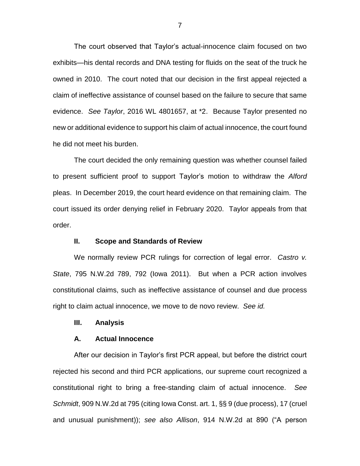The court observed that Taylor's actual-innocence claim focused on two exhibits—his dental records and DNA testing for fluids on the seat of the truck he owned in 2010. The court noted that our decision in the first appeal rejected a claim of ineffective assistance of counsel based on the failure to secure that same evidence. *See Taylor*, 2016 WL 4801657, at \*2. Because Taylor presented no new or additional evidence to support his claim of actual innocence, the court found he did not meet his burden.

The court decided the only remaining question was whether counsel failed to present sufficient proof to support Taylor's motion to withdraw the *Alford*  pleas. In December 2019, the court heard evidence on that remaining claim. The court issued its order denying relief in February 2020. Taylor appeals from that order.

## **II. Scope and Standards of Review**

We normally review PCR rulings for correction of legal error. *Castro v. State*, 795 N.W.2d 789, 792 (Iowa 2011). But when a PCR action involves constitutional claims, such as ineffective assistance of counsel and due process right to claim actual innocence, we move to de novo review. *See id.*

#### **III. Analysis**

#### **A. Actual Innocence**

After our decision in Taylor's first PCR appeal, but before the district court rejected his second and third PCR applications, our supreme court recognized a constitutional right to bring a free-standing claim of actual innocence. *See Schmidt*, 909 N.W.2d at 795 (citing Iowa Const. art. 1, §§ 9 (due process), 17 (cruel and unusual punishment)); *see also Allison*, 914 N.W.2d at 890 ("A person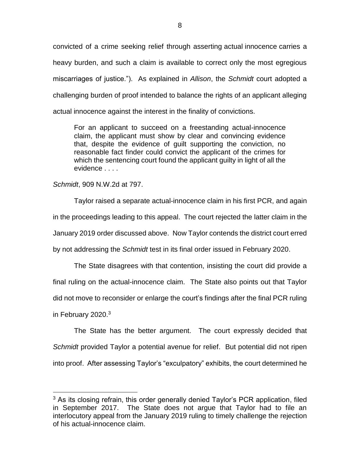convicted of a crime seeking relief through asserting actual innocence carries a heavy burden, and such a claim is available to correct only the most egregious miscarriages of justice."). As explained in *Allison*, the *Schmidt* court adopted a challenging burden of proof intended to balance the rights of an applicant alleging actual innocence against the interest in the finality of convictions.

For an applicant to succeed on a freestanding actual-innocence claim, the applicant must show by clear and convincing evidence that, despite the evidence of guilt supporting the conviction, no reasonable fact finder could convict the applicant of the crimes for which the sentencing court found the applicant guilty in light of all the evidence . . . .

*Schmidt*, 909 N.W.2d at 797.

 $\overline{a}$ 

Taylor raised a separate actual-innocence claim in his first PCR, and again in the proceedings leading to this appeal. The court rejected the latter claim in the January 2019 order discussed above. Now Taylor contends the district court erred by not addressing the *Schmidt* test in its final order issued in February 2020.

The State disagrees with that contention, insisting the court did provide a final ruling on the actual-innocence claim. The State also points out that Taylor did not move to reconsider or enlarge the court's findings after the final PCR ruling in February 2020.<sup>3</sup>

The State has the better argument. The court expressly decided that *Schmidt* provided Taylor a potential avenue for relief. But potential did not ripen into proof. After assessing Taylor's "exculpatory" exhibits, the court determined he

 $3$  As its closing refrain, this order generally denied Taylor's PCR application, filed in September 2017. The State does not argue that Taylor had to file an interlocutory appeal from the January 2019 ruling to timely challenge the rejection of his actual-innocence claim.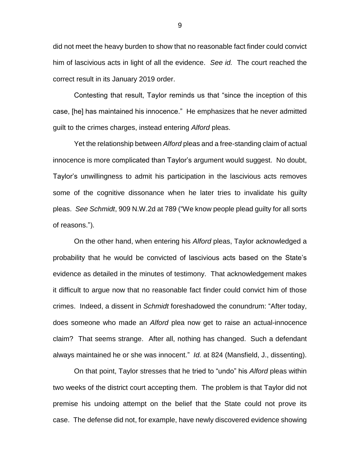did not meet the heavy burden to show that no reasonable fact finder could convict him of lascivious acts in light of all the evidence. *See id.* The court reached the correct result in its January 2019 order.

Contesting that result, Taylor reminds us that "since the inception of this case, [he] has maintained his innocence." He emphasizes that he never admitted guilt to the crimes charges, instead entering *Alford* pleas.

Yet the relationship between *Alford* pleas and a free-standing claim of actual innocence is more complicated than Taylor's argument would suggest. No doubt, Taylor's unwillingness to admit his participation in the lascivious acts removes some of the cognitive dissonance when he later tries to invalidate his guilty pleas. *See Schmidt*, 909 N.W.2d at 789 ("We know people plead guilty for all sorts of reasons.").

On the other hand, when entering his *Alford* pleas, Taylor acknowledged a probability that he would be convicted of lascivious acts based on the State's evidence as detailed in the minutes of testimony. That acknowledgement makes it difficult to argue now that no reasonable fact finder could convict him of those crimes. Indeed, a dissent in *Schmidt* foreshadowed the conundrum: "After today, does someone who made an *Alford* plea now get to raise an actual-innocence claim? That seems strange. After all, nothing has changed. Such a defendant always maintained he or she was innocent." *Id.* at 824 (Mansfield, J., dissenting).

On that point, Taylor stresses that he tried to "undo" his *Alford* pleas within two weeks of the district court accepting them. The problem is that Taylor did not premise his undoing attempt on the belief that the State could not prove its case. The defense did not, for example, have newly discovered evidence showing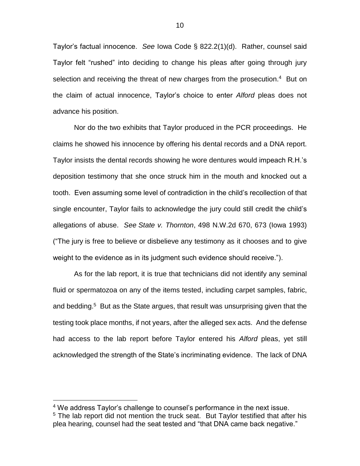Taylor's factual innocence. *See* Iowa Code § 822.2(1)(d). Rather, counsel said Taylor felt "rushed" into deciding to change his pleas after going through jury selection and receiving the threat of new charges from the prosecution.<sup>4</sup> But on the claim of actual innocence, Taylor's choice to enter *Alford* pleas does not advance his position.

Nor do the two exhibits that Taylor produced in the PCR proceedings. He claims he showed his innocence by offering his dental records and a DNA report. Taylor insists the dental records showing he wore dentures would impeach R.H.'s deposition testimony that she once struck him in the mouth and knocked out a tooth. Even assuming some level of contradiction in the child's recollection of that single encounter, Taylor fails to acknowledge the jury could still credit the child's allegations of abuse. *See State v. Thornton*, 498 N.W.2d 670, 673 (Iowa 1993) ("The jury is free to believe or disbelieve any testimony as it chooses and to give weight to the evidence as in its judgment such evidence should receive.").

As for the lab report, it is true that technicians did not identify any seminal fluid or spermatozoa on any of the items tested, including carpet samples, fabric, and bedding.<sup>5</sup> But as the State argues, that result was unsurprising given that the testing took place months, if not years, after the alleged sex acts. And the defense had access to the lab report before Taylor entered his *Alford* pleas, yet still acknowledged the strength of the State's incriminating evidence. The lack of DNA

 $\overline{a}$ 

<sup>&</sup>lt;sup>4</sup> We address Taylor's challenge to counsel's performance in the next issue. <sup>5</sup> The lab report did not mention the truck seat. But Taylor testified that after his plea hearing, counsel had the seat tested and "that DNA came back negative."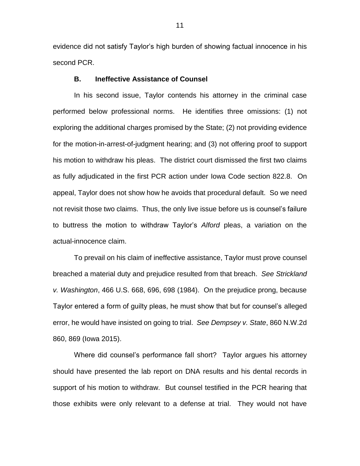evidence did not satisfy Taylor's high burden of showing factual innocence in his second PCR.

### **B. Ineffective Assistance of Counsel**

In his second issue, Taylor contends his attorney in the criminal case performed below professional norms. He identifies three omissions: (1) not exploring the additional charges promised by the State; (2) not providing evidence for the motion-in-arrest-of-judgment hearing; and (3) not offering proof to support his motion to withdraw his pleas. The district court dismissed the first two claims as fully adjudicated in the first PCR action under Iowa Code section 822.8. On appeal, Taylor does not show how he avoids that procedural default. So we need not revisit those two claims. Thus, the only live issue before us is counsel's failure to buttress the motion to withdraw Taylor's *Alford* pleas, a variation on the actual-innocence claim.

To prevail on his claim of ineffective assistance, Taylor must prove counsel breached a material duty and prejudice resulted from that breach. *See Strickland v. Washington*, 466 U.S. 668, 696, 698 (1984). On the prejudice prong, because Taylor entered a form of guilty pleas, he must show that but for counsel's alleged error, he would have insisted on going to trial. *See Dempsey v. State*, 860 N.W.2d 860, 869 (Iowa 2015).

Where did counsel's performance fall short? Taylor argues his attorney should have presented the lab report on DNA results and his dental records in support of his motion to withdraw. But counsel testified in the PCR hearing that those exhibits were only relevant to a defense at trial. They would not have